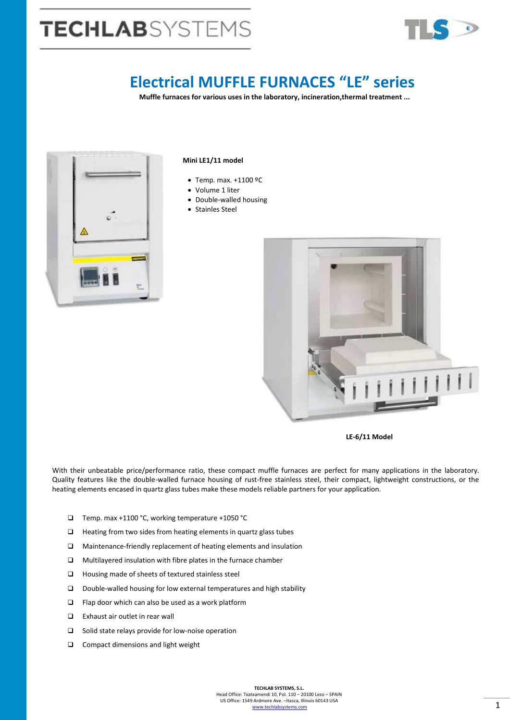# **TECHLAB**SYSTEMS



## **Electrical MUFFLE FURNACES "LE" series**

**Muffle furnaces for various uses in the laboratory, incineration,thermal treatment ...**



#### **Mini LE1/11 model**

- Temp. max. +1100 ºC
- Volume 1 liter
- Double-walled housing
- Stainles Steel



 **LE-6/11 Model**

With their unbeatable price/performance ratio, these compact muffle furnaces are perfect for many applications in the laboratory. Quality features like the double-walled furnace housing of rust-free stainless steel, their compact, lightweight constructions, or the heating elements encased in quartz glass tubes make these models reliable partners for your application.

- Temp. max +1100 °C, working temperature +1050 °C
- $\Box$  Heating from two sides from heating elements in quartz glass tubes
- Maintenance-friendly replacement of heating elements and insulation
- Multilayered insulation with fibre plates in the furnace chamber
- Housing made of sheets of textured stainless steel
- Double-walled housing for low external temperatures and high stability
- $\square$  Flap door which can also be used as a work platform
- Exhaust air outlet in rear wall
- $\square$  Solid state relays provide for low-noise operation
- □ Compact dimensions and light weight

**TECHLAB SYSTEMS, S.L.** Head Office: Txatxamendi 10, Pol. 110 – 20100 Lezo – SPAIN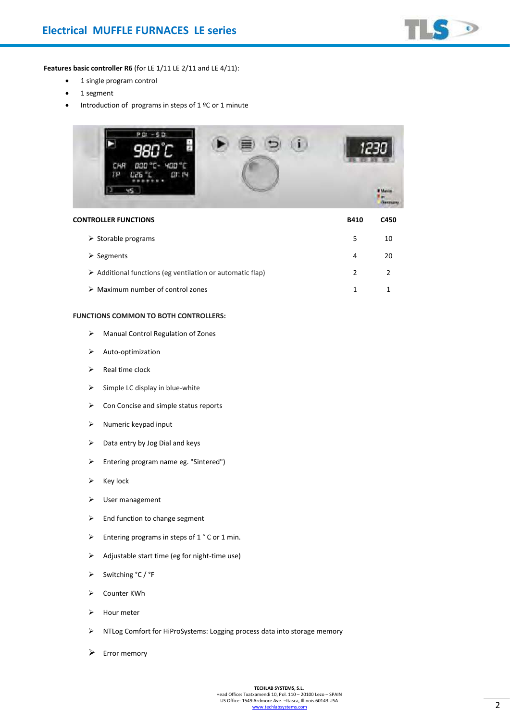

**Features basic controller R6** (for LE 1/11 LE 2/11 and LE 4/11):

- 1 single program control
- 1 segment
- Introduction of programs in steps of  $1 \, \text{°C}$  or 1 minute



| <b>CONTROLLER FUNCTIONS</b>                                              | <b>B410</b>   | C450 |
|--------------------------------------------------------------------------|---------------|------|
| $\triangleright$ Storable programs                                       | 5             | 10   |
| $\triangleright$ Segments                                                | 4             | 20   |
| $\triangleright$ Additional functions (eg ventilation or automatic flap) | $\mathcal{P}$ |      |
| $\triangleright$ Maximum number of control zones                         |               |      |

#### **FUNCTIONS COMMON TO BOTH CONTROLLERS:**

- ➢ Manual Control Regulation of Zones
- ➢ Auto-optimization
- ➢ Real time clock
- $\triangleright$  Simple LC display in blue-white
- ➢ Con Concise and simple status reports
- ➢ Numeric keypad input
- ➢ Data entry by Jog Dial and keys
- ➢ Entering program name eg. "Sintered")
- ➢ Key lock
- ➢ User management
- ➢ End function to change segment
- ➢ Entering programs in steps of 1 ° C or 1 min.
- ➢ Adjustable start time (eg for night-time use)
- ➢ Switching °C / °F
- ➢ Counter KWh
- ➢ Hour meter
- ➢ NTLog Comfort for HiProSystems: Logging process data into storage memory
- ➢ Error memory